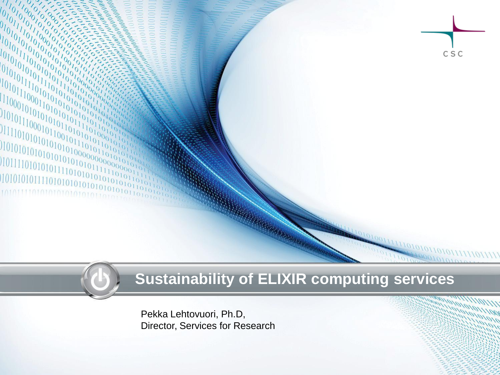

#### **Sustainability of ELIXIR computing services**

Pekka Lehtovuori, Ph.D, Director, Services for Research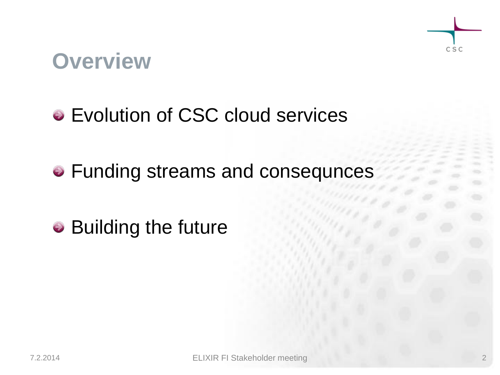## **Overview**

### • Evolution of CSC cloud services

• Funding streams and consequnces

• Building the future

CSC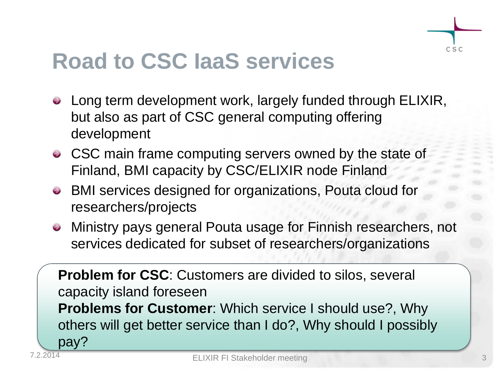

## **Road to CSC IaaS services**

- Long term development work, largely funded through ELIXIR, but also as part of CSC general computing offering development
- CSC main frame computing servers owned by the state of Finland, BMI capacity by CSC/ELIXIR node Finland
- BMI services designed for organizations, Pouta cloud for researchers/projects
- Ministry pays general Pouta usage for Finnish researchers, not services dedicated for subset of researchers/organizations

**Problem for CSC**: Customers are divided to silos, several capacity island foreseen **Problems for Customer**: Which service I should use?, Why others will get better service than I do?, Why should I possibly pay?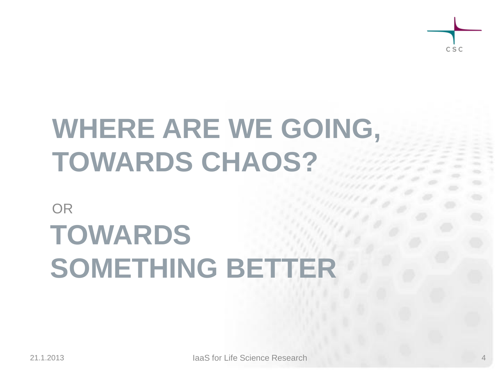

# **WHERE ARE WE GOING, TOWARDS CHAOS?**

## OR **TOWARDS SOMETHING BETTER**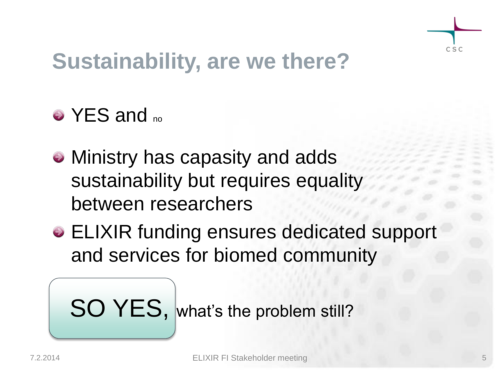

## **Sustainability, are we there?**

## • YES and <sub>no</sub>

- Ministry has capasity and adds sustainability but requires equality between researchers
- ELIXIR funding ensures dedicated support and services for biomed community

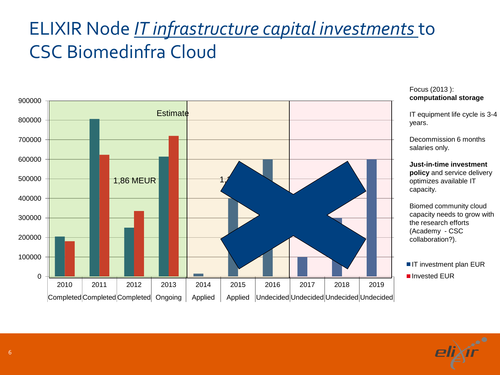## ELIXIR Node *IT infrastructure capital investments* to CSC Biomedinfra Cloud



#### Focus (2013 ): **computational storage**

IT equipment life cycle is 3-4 years.

Decommission 6 months salaries only.

**Just-in-time investment policy** and service delivery optimizes available IT capacity.

Biomed community cloud capacity needs to grow with the research efforts (Academy - CSC collaboration?).

**IT investment plan EUR ■** Invested EUR

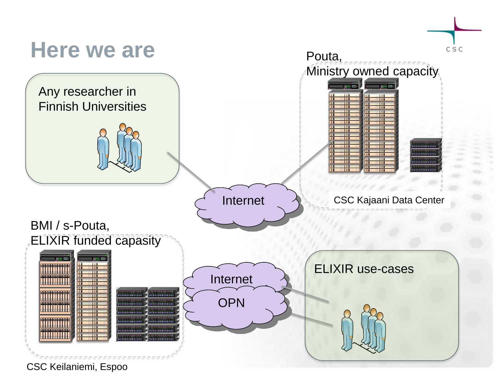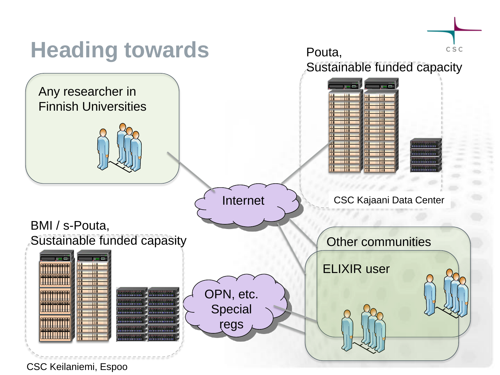